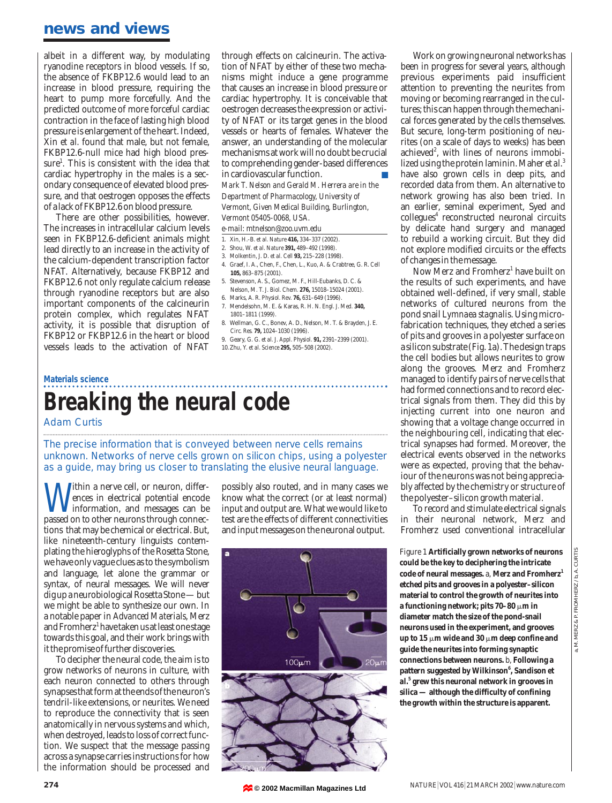### **news and views**

albeit in a different way, by modulating ryanodine receptors in blood vessels. If so, the absence of FKBP12.6 would lead to an increase in blood pressure, requiring the heart to pump more forcefully. And the predicted outcome of more forceful cardiac contraction in the face of lasting high blood pressure is enlargement of the heart. Indeed, Xin *et al.* found that male, but not female, FKBP12.6-null mice had high blood pressure<sup>1</sup>. This is consistent with the idea that cardiac hypertrophy in the males is a secondary consequence of elevated blood pressure, and that oestrogen opposes the effects of a lack of FKBP12.6 on blood pressure.

There are other possibilities, however. The increases in intracellular calcium levels seen in FKBP12.6-deficient animals might lead directly to an increase in the activity of the calcium-dependent transcription factor NFAT. Alternatively, because FKBP12 and FKBP12.6 not only regulate calcium release through ryanodine receptors but are also important components of the calcineurin protein complex, which regulates NFAT activity, it is possible that disruption of FKBP12 or FKBP12.6 in the heart or blood vessels leads to the activation of NFAT

through effects on calcineurin. The activation of NFAT by either of these two mechanisms might induce a gene programme that causes an increase in blood pressure or cardiac hypertrophy. It is conceivable that oestrogen decreases the expression or activity of NFAT or its target genes in the blood vessels or hearts of females. Whatever the answer, an understanding of the molecular mechanisms at work will no doubt be crucial to comprehending gender-based differences in cardiovascular function. *Mark T. Nelson and Gerald M. Herrera are in the Department of Pharmacology, University of Vermont, Given Medical Building, Burlington, Vermont 05405-0068, USA.*

#### *e-mail: mtnelson@zoo.uvm.edu*

- 1. Xin, H.-B. *et al. Nature* **416,** 334–337 (2002).
- 2. Shou, W. *et al. Nature* **391,** 489–492 (1998).
- 3. Molkentin, J. D. *et al. Cell* **93,** 215–228 (1998).
- 4. Graef, I. A., Chen, F., Chen, L., Kuo, A. & Crabtree, G. R. *Cell* **105,** 863–875 (2001).
- 5. Stevenson, A. S., Gomez, M. F., Hill-Eubanks, D. C. & Nelson, M. T. *J. Biol. Chem.* **276,** 15018–15024 (2001).
- 6. Marks, A. R. *Physiol. Rev.* **76,** 631–649 (1996). 7. Mendelsohn, M. E. & Karas, R. H. *N. Engl. J. Med.* **340,** 1801–1811 (1999).
- 8. Wellman, G. C., Bonev, A. D., Nelson, M. T. & Brayden, J. E. *Circ. Res.* **79,** 1024–1030 (1996).
- 9. Geary, G. G. *et al. J. Appl. Physiol.* **91,** 2391–2399 (2001). 10.Zhu, Y. *et al. Science* **295,** 505–508 (2002).

# **Materials science Breaking the neural code**

Adam Curtis

The precise information that is conveyed between nerve cells remains unknown. Networks of nerve cells grown on silicon chips, using a polyester as a guide, may bring us closer to translating the elusive neural language.

Within a nerve cell, or neuron, differences in electrical potential encode<br>information, and messages can be<br>passed on to other neurons through connect ences in electrical potential encode information, and messages can be passed on to other neurons through connections that may be chemical or electrical. But, like nineteenth-century linguists contemplating the hieroglyphs of the Rosetta Stone, we have only vague clues as to the symbolism and language, let alone the grammar or syntax, of neural messages. We will never dig up a neurobiological Rosetta Stone — but we might be able to synthesize our own. In a notable paper in *Advanced Materials*, Merz and Fromherz<sup>1</sup> have taken us at least one stage towards this goal, and their work brings with it the promise of further discoveries.

To decipher the neural code, the aim is to grow networks of neurons in culture, with each neuron connected to others through synapses that form at the ends of the neuron's tendril-like extensions, or neurites. We need to reproduce the connectivity that is seen anatomically in nervous systems and which, when destroyed, leads to loss of correct function. We suspect that the message passing across a synapse carries instructions for how the information should be processed and

possibly also routed, and in many cases we know what the correct (or at least normal) input and output are. What we would like to test are the effects of different connectivities and input messages on the neuronal output.



Work on growing neuronal networks has been in progress for several years, although previous experiments paid insufficient attention to preventing the neurites from moving or becoming rearranged in the cultures; this can happen through the mechanical forces generated by the cells themselves. But secure, long-term positioning of neurites (on a scale of days to weeks) has been achieved<sup>2</sup>, with lines of neurons immobilized using the protein laminin. Maher *et al*. 3 have also grown cells in deep pits, and recorded data from them. An alternative to network growing has also been tried. In an earlier, seminal experiment, Syed and collegues<sup>4</sup> reconstructed neuronal circuits by delicate hand surgery and managed to rebuild a working circuit. But they did not explore modified circuits or the effects of changes in the message.

Now Merz and Fromherz<sup>1</sup> have built on the results of such experiments, and have obtained well-defined, if very small, stable networks of cultured neurons from the pond snail *Lymnaea stagnalis*. Using microfabrication techniques, they etched a series of pits and grooves in a polyester surface on a silicon substrate (Fig. 1a). The design traps the cell bodies but allows neurites to grow along the grooves. Merz and Fromherz managed to identify pairs of nerve cells that had formed connections and to record electrical signals from them. They did this by injecting current into one neuron and showing that a voltage change occurred in the neighbouring cell, indicating that electrical synapses had formed. Moreover, the electrical events observed in the networks were as expected, proving that the behaviour of the neurons was not being appreciably affected by the chemistry or structure of the polyester–silicon growth material.

To record and stimulate electrical signals in their neuronal network, Merz and Fromherz used conventional intracellular

Figure 1 **Artificially grown networks of neurons could be the key to deciphering the intricate code of neural messages.** a, **Merz and Fromherz1 etched pits and grooves in a polyester–silicon material to control the growth of neurites into a functioning network; pits 70–80**  $\mu$ **m in diameter match the size of the pond-snail neurons used in the experiment, and grooves up to 15**  $\mu$ **m wide and 30**  $\mu$ **m deep confine and guide the neurites into forming synaptic connections between neurons.** b, **Following a pattern suggested by Wilkinson6 , Sandison** *et al.***<sup>5</sup> grew this neuronal network in grooves in silica — although the difficulty of confining the growth within the structure is apparent.**